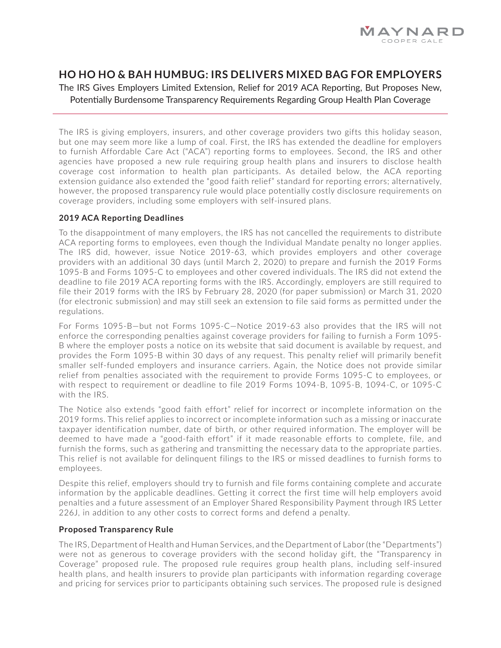

## **HO HO HO & BAH HUMBUG: IRS DELIVERS MIXED BAG FOR EMPLOYERS**

The IRS Gives Employers Limited Extension, Relief for 2019 ACA Reporting, But Proposes New, Potentially Burdensome Transparency Requirements Regarding Group Health Plan Coverage

The IRS is giving employers, insurers, and other coverage providers two gifts this holiday season, but one may seem more like a lump of coal. First, the IRS has extended the deadline for employers to furnish Affordable Care Act ("ACA") reporting forms to employees. Second, the IRS and other agencies have proposed a new rule requiring group health plans and insurers to disclose health coverage cost information to health plan participants. As detailed below, the ACA reporting extension guidance also extended the "good faith relief" standard for reporting errors; alternatively, however, the proposed transparency rule would place potentially costly disclosure requirements on coverage providers, including some employers with self-insured plans.

## **2019 ACA Reporting Deadlines**

To the disappointment of many employers, the IRS has not cancelled the requirements to distribute ACA reporting forms to employees, even though the Individual Mandate penalty no longer applies. The IRS did, however, issue Notice 2019-63, which provides employers and other coverage providers with an additional 30 days (until March 2, 2020) to prepare and furnish the 2019 Forms 1095-B and Forms 1095-C to employees and other covered individuals. The IRS did not extend the deadline to file 2019 ACA reporting forms with the IRS. Accordingly, employers are still required to file their 2019 forms with the IRS by February 28, 2020 (for paper submission) or March 31, 2020 (for electronic submission) and may still seek an extension to file said forms as permitted under the regulations.

For Forms 1095-B—but not Forms 1095-C—Notice 2019-63 also provides that the IRS will not enforce the corresponding penalties against coverage providers for failing to furnish a Form 1095- B where the employer posts a notice on its website that said document is available by request, and provides the Form 1095-B within 30 days of any request. This penalty relief will primarily benefit smaller self-funded employers and insurance carriers. Again, the Notice does not provide similar relief from penalties associated with the requirement to provide Forms 1095-C to employees, or with respect to requirement or deadline to file 2019 Forms 1094-B, 1095-B, 1094-C, or 1095-C with the IRS.

The Notice also extends "good faith effort" relief for incorrect or incomplete information on the 2019 forms. This relief applies to incorrect or incomplete information such as a missing or inaccurate taxpayer identification number, date of birth, or other required information. The employer will be deemed to have made a "good-faith effort" if it made reasonable efforts to complete, file, and furnish the forms, such as gathering and transmitting the necessary data to the appropriate parties. This relief is not available for delinquent filings to the IRS or missed deadlines to furnish forms to employees.

Despite this relief, employers should try to furnish and file forms containing complete and accurate information by the applicable deadlines. Getting it correct the first time will help employers avoid penalties and a future assessment of an Employer Shared Responsibility Payment through IRS Letter 226J, in addition to any other costs to correct forms and defend a penalty.

## **Proposed Transparency Rule**

The IRS, Department of Health and Human Services, and the Department of Labor (the "Departments") were not as generous to coverage providers with the second holiday gift, the "Transparency in Coverage" proposed rule. The proposed rule requires group health plans, including self-insured health plans, and health insurers to provide plan participants with information regarding coverage and pricing for services prior to participants obtaining such services. The proposed rule is designed